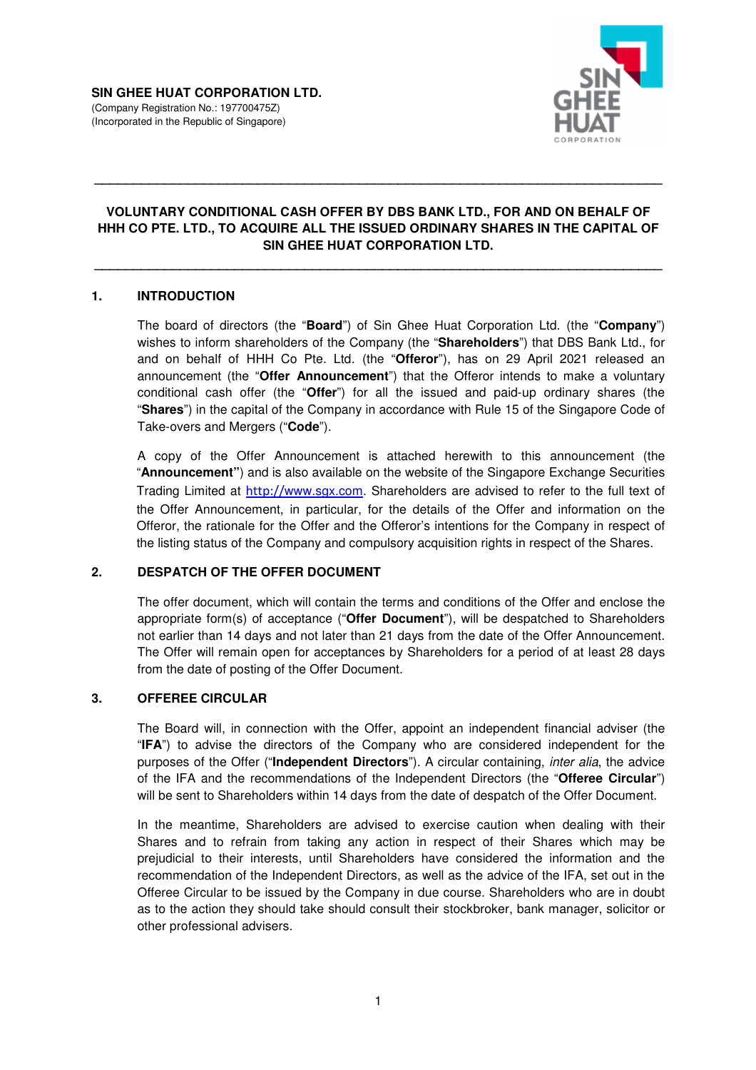

# **VOLUNTARY CONDITIONAL CASH OFFER BY DBS BANK LTD., FOR AND ON BEHALF OF HHH CO PTE. LTD., TO ACQUIRE ALL THE ISSUED ORDINARY SHARES IN THE CAPITAL OF SIN GHEE HUAT CORPORATION LTD.**

**\_\_\_\_\_\_\_\_\_\_\_\_\_\_\_\_\_\_\_\_\_\_\_\_\_\_\_\_\_\_\_\_\_\_\_\_\_\_\_\_\_\_\_\_\_\_\_\_\_\_\_\_\_\_\_\_\_\_\_\_\_\_\_\_\_\_\_\_\_\_\_\_\_** 

**\_\_\_\_\_\_\_\_\_\_\_\_\_\_\_\_\_\_\_\_\_\_\_\_\_\_\_\_\_\_\_\_\_\_\_\_\_\_\_\_\_\_\_\_\_\_\_\_\_\_\_\_\_\_\_\_\_\_\_\_\_\_\_\_\_\_\_\_\_\_\_\_\_** 

## **1. INTRODUCTION**

The board of directors (the "**Board**") of Sin Ghee Huat Corporation Ltd. (the "**Company**") wishes to inform shareholders of the Company (the "**Shareholders**") that DBS Bank Ltd., for and on behalf of HHH Co Pte. Ltd. (the "**Offeror**"), has on 29 April 2021 released an announcement (the "**Offer Announcement**") that the Offeror intends to make a voluntary conditional cash offer (the "**Offer**") for all the issued and paid-up ordinary shares (the "**Shares**") in the capital of the Company in accordance with Rule 15 of the Singapore Code of Take-overs and Mergers ("**Code**").

A copy of the Offer Announcement is attached herewith to this announcement (the "**Announcement"**) and is also available on the website of the Singapore Exchange Securities Trading Limited at http://www.sgx.com. Shareholders are advised to refer to the full text of the Offer Announcement, in particular, for the details of the Offer and information on the Offeror, the rationale for the Offer and the Offeror's intentions for the Company in respect of the listing status of the Company and compulsory acquisition rights in respect of the Shares.

# **2. DESPATCH OF THE OFFER DOCUMENT**

The offer document, which will contain the terms and conditions of the Offer and enclose the appropriate form(s) of acceptance ("**Offer Document**"), will be despatched to Shareholders not earlier than 14 days and not later than 21 days from the date of the Offer Announcement. The Offer will remain open for acceptances by Shareholders for a period of at least 28 days from the date of posting of the Offer Document.

#### **3. OFFEREE CIRCULAR**

The Board will, in connection with the Offer, appoint an independent financial adviser (the "**IFA**") to advise the directors of the Company who are considered independent for the purposes of the Offer ("**Independent Directors**"). A circular containing, inter alia, the advice of the IFA and the recommendations of the Independent Directors (the "**Offeree Circular**") will be sent to Shareholders within 14 days from the date of despatch of the Offer Document.

In the meantime, Shareholders are advised to exercise caution when dealing with their Shares and to refrain from taking any action in respect of their Shares which may be prejudicial to their interests, until Shareholders have considered the information and the recommendation of the Independent Directors, as well as the advice of the IFA, set out in the Offeree Circular to be issued by the Company in due course. Shareholders who are in doubt as to the action they should take should consult their stockbroker, bank manager, solicitor or other professional advisers.